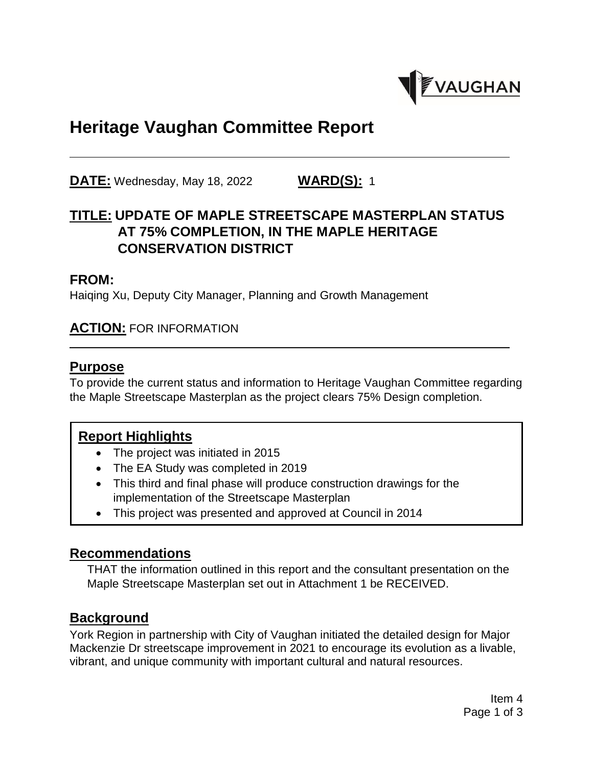

# **Heritage Vaughan Committee Report**

**DATE:** Wednesday, May 18, 2022 **WARD(S):** 1

# **TITLE: UPDATE OF MAPLE STREETSCAPE MASTERPLAN STATUS AT 75% COMPLETION, IN THE MAPLE HERITAGE CONSERVATION DISTRICT**

#### **FROM:**

Haiqing Xu, Deputy City Manager, Planning and Growth Management

#### **ACTION:** FOR INFORMATION

#### **Purpose**

To provide the current status and information to Heritage Vaughan Committee regarding the Maple Streetscape Masterplan as the project clears 75% Design completion.

### **Report Highlights**

- The project was initiated in 2015
- The EA Study was completed in 2019
- This third and final phase will produce construction drawings for the implementation of the Streetscape Masterplan
- This project was presented and approved at Council in 2014

#### **Recommendations**

THAT the information outlined in this report and the consultant presentation on the Maple Streetscape Masterplan set out in Attachment 1 be RECEIVED.

#### **Background**

York Region in partnership with City of Vaughan initiated the detailed design for Major Mackenzie Dr streetscape improvement in 2021 to encourage its evolution as a livable, vibrant, and unique community with important cultural and natural resources.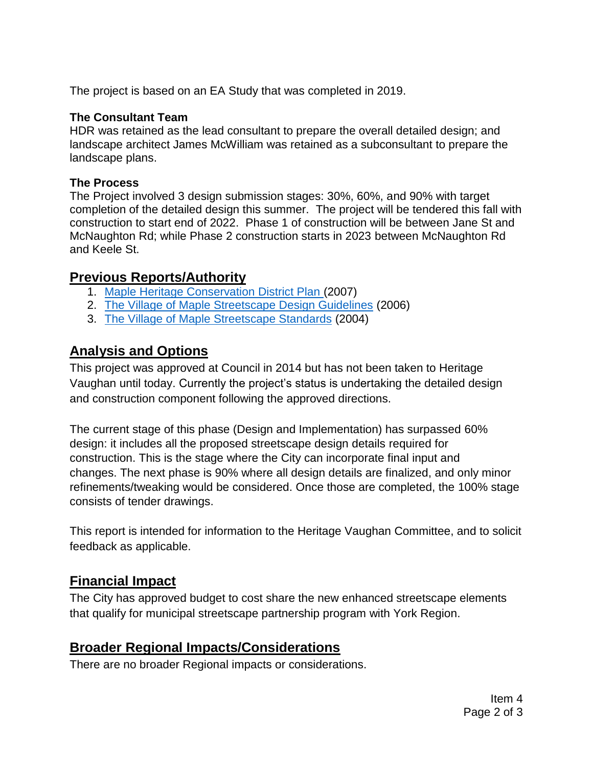The project is based on an EA Study that was completed in 2019.

#### **The Consultant Team**

HDR was retained as the lead consultant to prepare the overall detailed design; and landscape architect James McWilliam was retained as a subconsultant to prepare the landscape plans.

#### **The Process**

The Project involved 3 design submission stages: 30%, 60%, and 90% with target completion of the detailed design this summer. The project will be tendered this fall with construction to start end of 2022. Phase 1 of construction will be between Jane St and McNaughton Rd; while Phase 2 construction starts in 2023 between McNaughton Rd and Keele St.

### **Previous Reports/Authority**

- 1. [Maple Heritage Conservation District Plan](https://www.vaughan.ca/services/business/heritage_preservation/General%20Documents/Maple%20HCD%20Volume%203%20-%20Guidelines.pdf) (2007)
- 2. [The Village of Maple Streetscape Design Guidelines](https://meetingarchives.vaughan.ca/committee_2006/pdf/CWA0501_22.pdf) (2006)
- 3. [The Village of Maple Streetscape Standards](https://www.vaughan.ca/services/business/urban_design/General%20Documents/Maple%20Streetscape%20and%20Urban%20Design%20Guidelines.pdf) (2004)

# **Analysis and Options**

This project was approved at Council in 2014 but has not been taken to Heritage Vaughan until today. Currently the project's status is undertaking the detailed design and construction component following the approved directions.

The current stage of this phase (Design and Implementation) has surpassed 60% design: it includes all the proposed streetscape design details required for construction. This is the stage where the City can incorporate final input and changes. The next phase is 90% where all design details are finalized, and only minor refinements/tweaking would be considered. Once those are completed, the 100% stage consists of tender drawings.

This report is intended for information to the Heritage Vaughan Committee, and to solicit feedback as applicable.

### **Financial Impact**

The City has approved budget to cost share the new enhanced streetscape elements that qualify for municipal streetscape partnership program with York Region.

### **Broader Regional Impacts/Considerations**

There are no broader Regional impacts or considerations.